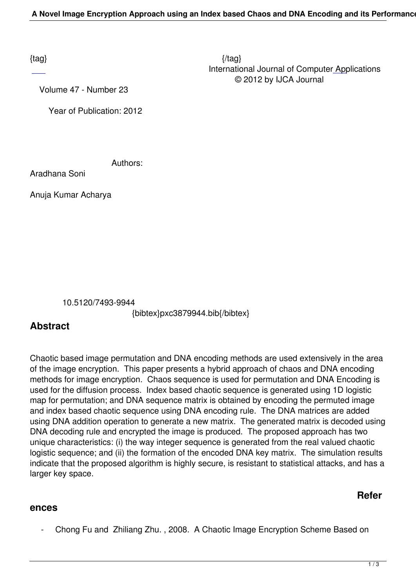Volume 47 - Number 23

Year of Publication: 2012

Authors:

Aradhana Soni

Anuja Kumar Acharya

10.5120/7493-9944

{bibtex}pxc3879944.bib{/bibtex}

## **Abstract**

Chaotic based image permutation and DNA encoding methods are used extensively in the area of the image encryption. This paper presents a hybrid approach of chaos and DNA encoding methods for image encryption. Chaos sequence is used for permutation and DNA Encoding is used for the diffusion process. Index based chaotic sequence is generated using 1D logistic map for permutation; and DNA sequence matrix is obtained by encoding the permuted image and index based chaotic sequence using DNA encoding rule. The DNA matrices are added using DNA addition operation to generate a new matrix. The generated matrix is decoded using DNA decoding rule and encrypted the image is produced. The proposed approach has two unique characteristics: (i) the way integer sequence is generated from the real valued chaotic logistic sequence; and (ii) the formation of the encoded DNA key matrix. The simulation results indicate that the proposed algorithm is highly secure, is resistant to statistical attacks, and has a larger key space.

## **Refer**

## **ences**

- Chong Fu and Zhiliang Zhu. , 2008. A Chaotic Image Encryption Scheme Based on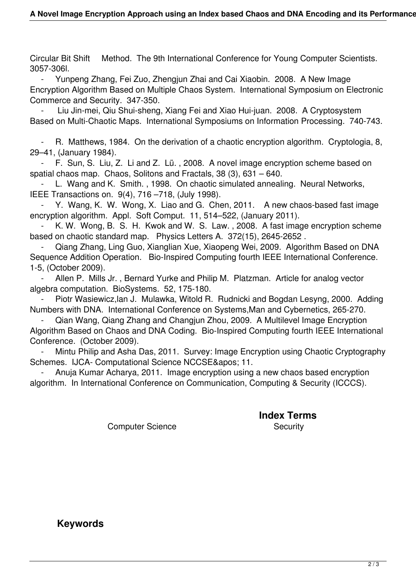Circular Bit Shift Method. The 9th International Conference for Young Computer Scientists. 3057-306l.

 - Yunpeng Zhang, Fei Zuo, Zhengjun Zhai and Cai Xiaobin. 2008. A New Image Encryption Algorithm Based on Multiple Chaos System. International Symposium on Electronic Commerce and Security. 347-350.

 - Liu Jin-mei, Qiu Shui-sheng, Xiang Fei and Xiao Hui-juan. 2008. A Cryptosystem Based on Multi-Chaotic Maps. International Symposiums on Information Processing. 740-743.

 - R. Matthews, 1984. On the derivation of a chaotic encryption algorithm. Cryptologia, 8, 29–41, (January 1984).

 - F. Sun, S. Liu, Z. Li and Z. Lü. , 2008. A novel image encryption scheme based on spatial chaos map. Chaos, Solitons and Fractals, 38 (3), 631 – 640.

L. Wang and K. Smith., 1998. On chaotic simulated annealing. Neural Networks, IEEE Transactions on. 9(4), 716 –718, (July 1998).

 - Y. Wang, K. W. Wong, X. Liao and G. Chen, 2011. A new chaos-based fast image encryption algorithm. Appl. Soft Comput. 11, 514–522, (January 2011).

K. W. Wong, B. S. H. Kwok and W. S. Law., 2008. A fast image encryption scheme based on chaotic standard map. Physics Letters A. 372(15), 2645-2652 .

 - Qiang Zhang, Ling Guo, Xianglian Xue, Xiaopeng Wei, 2009. Algorithm Based on DNA Sequence Addition Operation. Bio-Inspired Computing fourth IEEE International Conference. 1-5, (October 2009).

Allen P. Mills Jr., Bernard Yurke and Philip M. Platzman. Article for analog vector algebra computation. BioSystems. 52, 175-180.

Piotr Wasiewicz, lan J. Mulawka, Witold R. Rudnicki and Bogdan Lesyng, 2000. Adding Numbers with DNA. InternationaI Conference on Systems,Man and Cybernetics, 265-270.

 - Qian Wang, Qiang Zhang and Changjun Zhou, 2009. A Multilevel Image Encryption Algorithm Based on Chaos and DNA Coding. Bio-Inspired Computing fourth IEEE International Conference. (October 2009).

Mintu Philip and Asha Das, 2011. Survey: Image Encryption using Chaotic Cryptography Schemes. IJCA- Computational Science NCCSE' 11.

Anuja Kumar Acharya, 2011. Image encryption using a new chaos based encryption algorithm. In International Conference on Communication, Computing & Security (ICCCS).

Computer Science **Security** Security

**Index Terms** 

 **Keywords**